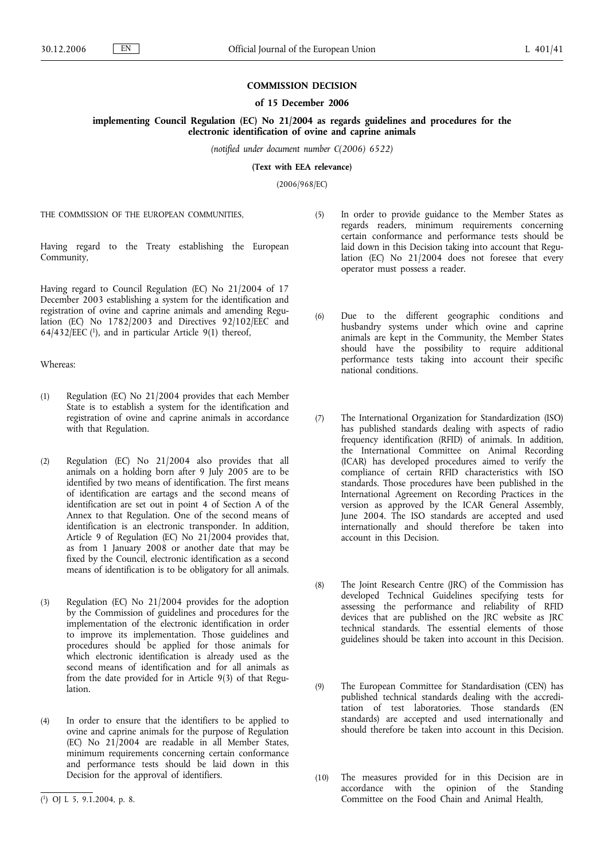### **COMMISSION DECISION**

## **of 15 December 2006**

**implementing Council Regulation (EC) No 21/2004 as regards guidelines and procedures for the electronic identification of ovine and caprine animals**

*(notified under document number C(2006) 6522)*

**(Text with EEA relevance)**

(2006/968/EC)

THE COMMISSION OF THE EUROPEAN COMMUNITIES,

Having regard to the Treaty establishing the European Community,

Having regard to Council Regulation (EC) No 21/2004 of 17 December 2003 establishing a system for the identification and registration of ovine and caprine animals and amending Regulation (EC) No 1782/2003 and Directives 92/102/EEC and  $64/432/EEC$  (1), and in particular Article 9(1) thereof,

Whereas:

- (1) Regulation (EC) No 21/2004 provides that each Member State is to establish a system for the identification and registration of ovine and caprine animals in accordance with that Regulation.
- (2) Regulation (EC) No 21/2004 also provides that all animals on a holding born after 9 July 2005 are to be identified by two means of identification. The first means of identification are eartags and the second means of identification are set out in point 4 of Section A of the Annex to that Regulation. One of the second means of identification is an electronic transponder. In addition, Article 9 of Regulation (EC) No 21/2004 provides that, as from 1 January 2008 or another date that may be fixed by the Council, electronic identification as a second means of identification is to be obligatory for all animals.
- (3) Regulation (EC) No 21/2004 provides for the adoption by the Commission of guidelines and procedures for the implementation of the electronic identification in order to improve its implementation. Those guidelines and procedures should be applied for those animals for which electronic identification is already used as the second means of identification and for all animals as from the date provided for in Article 9(3) of that Regulation.
- (4) In order to ensure that the identifiers to be applied to ovine and caprine animals for the purpose of Regulation (EC) No 21/2004 are readable in all Member States, minimum requirements concerning certain conformance and performance tests should be laid down in this Decision for the approval of identifiers.
- (5) In order to provide guidance to the Member States as regards readers, minimum requirements concerning certain conformance and performance tests should be laid down in this Decision taking into account that Regulation (EC) No 21/2004 does not foresee that every operator must possess a reader.
- (6) Due to the different geographic conditions and husbandry systems under which ovine and caprine animals are kept in the Community, the Member States should have the possibility to require additional performance tests taking into account their specific national conditions.
- (7) The International Organization for Standardization (ISO) has published standards dealing with aspects of radio frequency identification (RFID) of animals. In addition, the International Committee on Animal Recording (ICAR) has developed procedures aimed to verify the compliance of certain RFID characteristics with ISO standards. Those procedures have been published in the International Agreement on Recording Practices in the version as approved by the ICAR General Assembly, June 2004. The ISO standards are accepted and used internationally and should therefore be taken into account in this Decision.
- (8) The Joint Research Centre (JRC) of the Commission has developed Technical Guidelines specifying tests for assessing the performance and reliability of RFID devices that are published on the JRC website as JRC technical standards. The essential elements of those guidelines should be taken into account in this Decision.
- (9) The European Committee for Standardisation (CEN) has published technical standards dealing with the accreditation of test laboratories. Those standards (EN standards) are accepted and used internationally and should therefore be taken into account in this Decision.
- (10) The measures provided for in this Decision are in accordance with the opinion of the Standing Committee on the Food Chain and Animal Health,

<sup>(</sup> 1) OJ L 5, 9.1.2004, p. 8.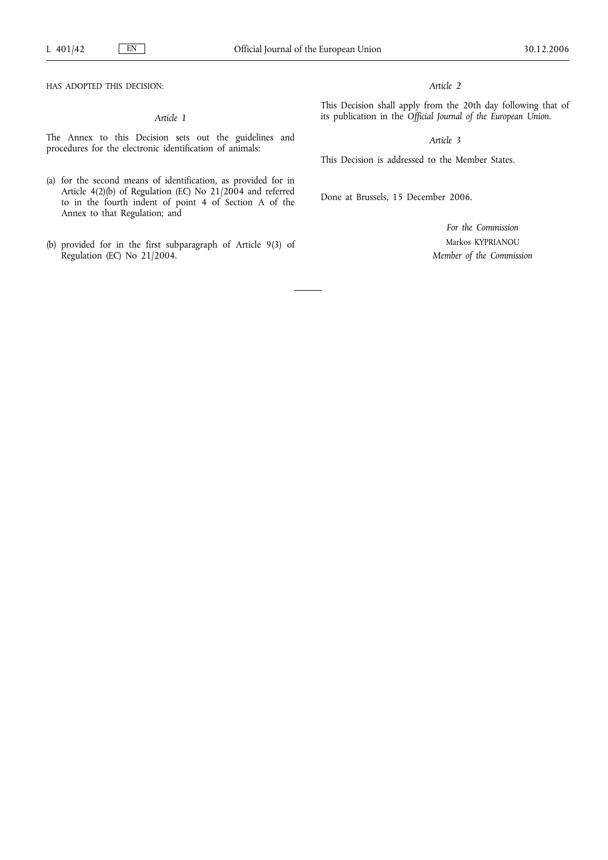HAS ADOPTED THIS DECISION:

## *Article 1*

The Annex to this Decision sets out the guidelines and procedures for the electronic identification of animals:

- (a) for the second means of identification, as provided for in Article 4(2)(b) of Regulation (EC) No 21/2004 and referred to in the fourth indent of point 4 of Section A of the Annex to that Regulation; and
- (b) provided for in the first subparagraph of Article 9(3) of Regulation (EC) No 21/2004.

## *Article 2*

This Decision shall apply from the 20th day following that of its publication in the *Official Journal of the European Union*.

# *Article 3*

This Decision is addressed to the Member States.

Done at Brussels, 15 December 2006.

*For the Commission* Markos KYPRIANOU *Member of the Commission*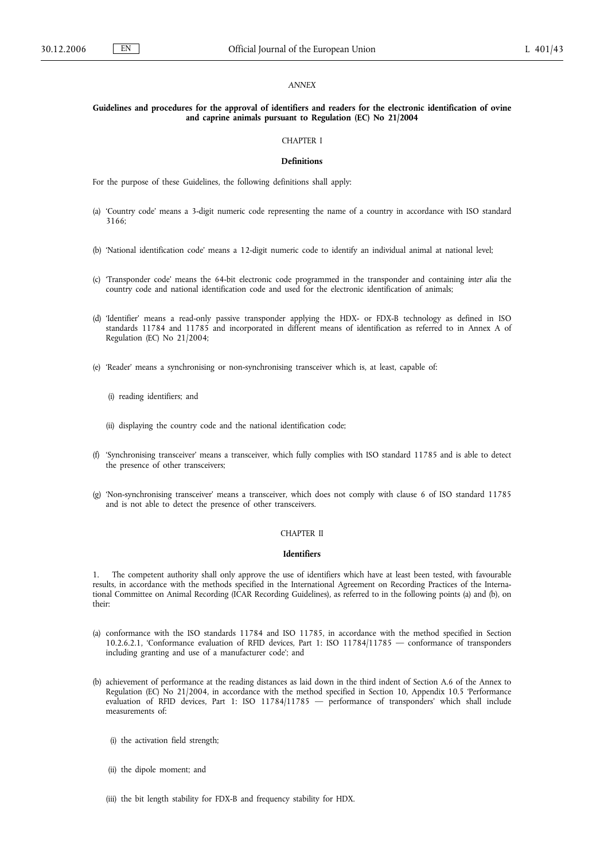#### *ANNEX*

#### **Guidelines and procedures for the approval of identifiers and readers for the electronic identification of ovine and caprine animals pursuant to Regulation (EC) No 21/2004**

#### CHAPTER I

#### **Definitions**

For the purpose of these Guidelines, the following definitions shall apply:

- (a) 'Country code' means a 3-digit numeric code representing the name of a country in accordance with ISO standard 3166;
- (b) 'National identification code' means a 12-digit numeric code to identify an individual animal at national level;
- (c) 'Transponder code' means the 64-bit electronic code programmed in the transponder and containing *inter alia* the country code and national identification code and used for the electronic identification of animals;
- (d) 'Identifier' means a read-only passive transponder applying the HDX- or FDX-B technology as defined in ISO standards 11784 and 11785 and incorporated in different means of identification as referred to in Annex A of Regulation (EC) No 21/2004;
- (e) 'Reader' means a synchronising or non-synchronising transceiver which is, at least, capable of:
	- (i) reading identifiers; and
	- (ii) displaying the country code and the national identification code;
- (f) 'Synchronising transceiver' means a transceiver, which fully complies with ISO standard 11785 and is able to detect the presence of other transceivers;
- (g) 'Non-synchronising transceiver' means a transceiver, which does not comply with clause 6 of ISO standard 11785 and is not able to detect the presence of other transceivers.

#### CHAPTER II

## **Identifiers**

1. The competent authority shall only approve the use of identifiers which have at least been tested, with favourable results, in accordance with the methods specified in the International Agreement on Recording Practices of the International Committee on Animal Recording (ICAR Recording Guidelines), as referred to in the following points (a) and (b), on their:

- (a) conformance with the ISO standards 11784 and ISO 11785, in accordance with the method specified in Section 10.2.6.2.1, 'Conformance evaluation of RFID devices, Part 1: ISO 11784/11785 — conformance of transponders including granting and use of a manufacturer code'; and
- (b) achievement of performance at the reading distances as laid down in the third indent of Section A.6 of the Annex to Regulation (EC) No 21/2004, in accordance with the method specified in Section 10, Appendix 10.5 'Performance evaluation of RFID devices, Part 1: ISO 11784/11785 — performance of transponders' which shall include measurements of:
	- (i) the activation field strength;
	- (ii) the dipole moment; and
	- (iii) the bit length stability for FDX-B and frequency stability for HDX.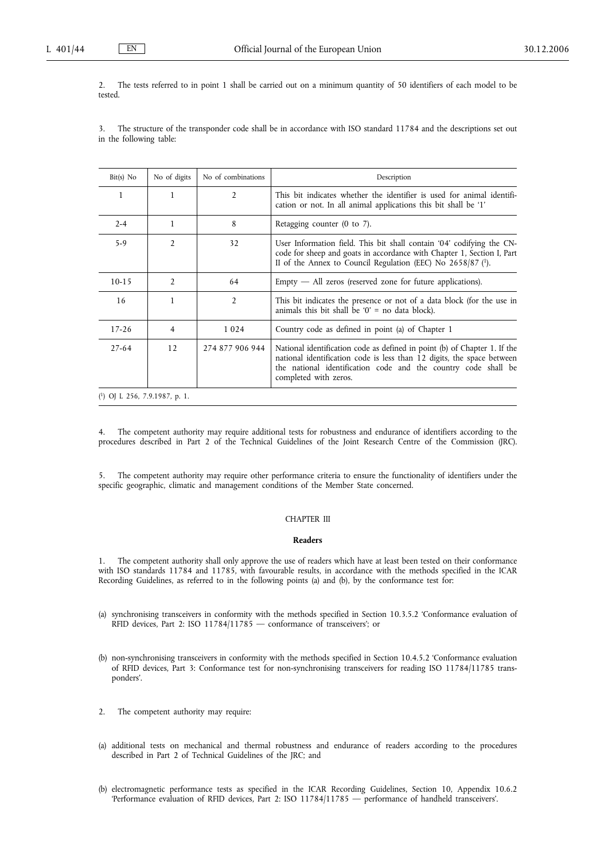2. The tests referred to in point 1 shall be carried out on a minimum quantity of 50 identifiers of each model to be tested.

3. The structure of the transponder code shall be in accordance with ISO standard 11784 and the descriptions set out in the following table:

| $Bit(s)$ No                     | No of digits   | No of combinations | Description                                                                                                                                                                                                                                    |
|---------------------------------|----------------|--------------------|------------------------------------------------------------------------------------------------------------------------------------------------------------------------------------------------------------------------------------------------|
| 1                               | 1              | 2                  | This bit indicates whether the identifier is used for animal identifi-<br>cation or not. In all animal applications this bit shall be '1'                                                                                                      |
| $2 - 4$                         | 1              | 8                  | Retagging counter $(0 \text{ to } 7)$ .                                                                                                                                                                                                        |
| $5-9$                           | $\overline{2}$ | 32                 | User Information field. This bit shall contain '04' codifying the CN-<br>code for sheep and goats in accordance with Chapter 1, Section I, Part<br>II of the Annex to Council Regulation (EEC) No $2658/87$ ( <sup>1</sup> ).                  |
| $10-15$                         | $\overline{2}$ | 64                 | $Empty$ $-$ All zeros (reserved zone for future applications).                                                                                                                                                                                 |
| 16                              | 1              | 2                  | This bit indicates the presence or not of a data block (for the use in<br>animals this bit shall be '0' = no data block).                                                                                                                      |
| $17 - 26$                       | 4              | 1 0 2 4            | Country code as defined in point (a) of Chapter 1                                                                                                                                                                                              |
| $27 - 64$                       | 12             | 274 877 906 944    | National identification code as defined in point (b) of Chapter 1. If the<br>national identification code is less than 12 digits, the space between<br>the national identification code and the country code shall be<br>completed with zeros. |
| $(1)$ OJ L 256, 7.9.1987, p. 1. |                |                    |                                                                                                                                                                                                                                                |

4. The competent authority may require additional tests for robustness and endurance of identifiers according to the procedures described in Part 2 of the Technical Guidelines of the Joint Research Centre of the Commission (JRC).

5. The competent authority may require other performance criteria to ensure the functionality of identifiers under the specific geographic, climatic and management conditions of the Member State concerned.

## CHAPTER III

#### **Readers**

1. The competent authority shall only approve the use of readers which have at least been tested on their conformance with ISO standards 11784 and 11785, with favourable results, in accordance with the methods specified in the ICAR Recording Guidelines, as referred to in the following points (a) and (b), by the conformance test for:

- (a) synchronising transceivers in conformity with the methods specified in Section 10.3.5.2 'Conformance evaluation of RFID devices, Part 2: ISO 11784/11785 — conformance of transceivers'; or
- (b) non-synchronising transceivers in conformity with the methods specified in Section 10.4.5.2 'Conformance evaluation of RFID devices, Part 3: Conformance test for non-synchronising transceivers for reading ISO 11784/11785 transponders'.
- 2. The competent authority may require:
- (a) additional tests on mechanical and thermal robustness and endurance of readers according to the procedures described in Part 2 of Technical Guidelines of the JRC; and
- (b) electromagnetic performance tests as specified in the ICAR Recording Guidelines, Section 10, Appendix 10.6.2 'Performance evaluation of RFID devices, Part 2: ISO 11784/11785 — performance of handheld transceivers'.